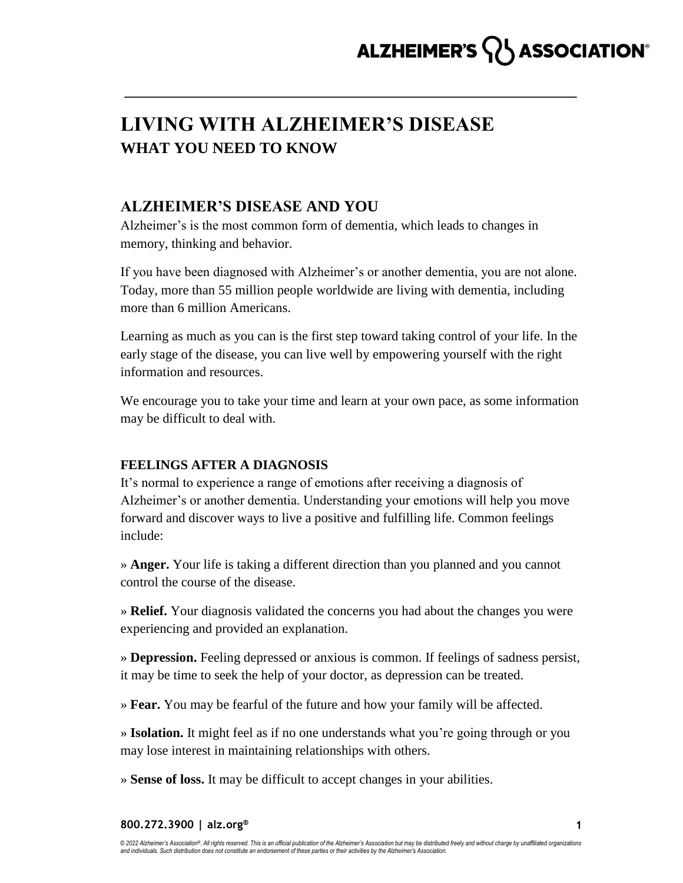## ALZHEIMER'S **ASSOCIATION**®

## **LIVING WITH ALZHEIMER'S DISEASE WHAT YOU NEED TO KNOW**

### **ALZHEIMER'S DISEASE AND YOU**

Alzheimer's is the most common form of dementia, which leads to changes in memory, thinking and behavior.

If you have been diagnosed with Alzheimer's or another dementia, you are not alone. Today, more than 55 million people worldwide are living with dementia, including more than 6 million Americans.

Learning as much as you can is the first step toward taking control of your life. In the early stage of the disease, you can live well by empowering yourself with the right information and resources.

We encourage you to take your time and learn at your own pace, as some information may be difficult to deal with.

#### **FEELINGS AFTER A DIAGNOSIS**

It's normal to experience a range of emotions after receiving a diagnosis of Alzheimer's or another dementia. Understanding your emotions will help you move forward and discover ways to live a positive and fulfilling life. Common feelings include:

» **Anger.** Your life is taking a different direction than you planned and you cannot control the course of the disease.

» **Relief.** Your diagnosis validated the concerns you had about the changes you were experiencing and provided an explanation.

» **Depression.** Feeling depressed or anxious is common. If feelings of sadness persist, it may be time to seek the help of your doctor, as depression can be treated.

» **Fear.** You may be fearful of the future and how your family will be affected.

» **Isolation.** It might feel as if no one understands what you're going through or you may lose interest in maintaining relationships with others.

» **Sense of loss.** It may be difficult to accept changes in your abilities.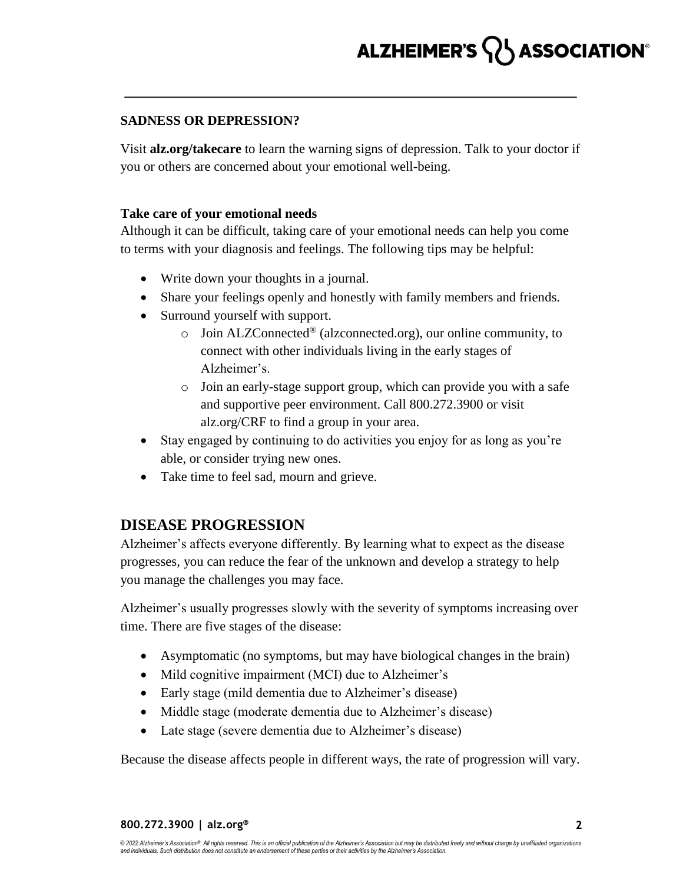#### **SADNESS OR DEPRESSION?**

Visit **alz.org/takecare** to learn the warning signs of depression. Talk to your doctor if you or others are concerned about your emotional well-being.

#### **Take care of your emotional needs**

Although it can be difficult, taking care of your emotional needs can help you come to terms with your diagnosis and feelings. The following tips may be helpful:

- Write down your thoughts in a journal.
- Share your feelings openly and honestly with family members and friends.
- Surround yourself with support.
	- $\circ$  Join ALZConnected<sup>®</sup> (alzconnected.org), our online community, to connect with other individuals living in the early stages of Alzheimer's.
	- o Join an early-stage support group, which can provide you with a safe and supportive peer environment. Call 800.272.3900 or visit alz.org/CRF to find a group in your area.
- Stay engaged by continuing to do activities you enjoy for as long as you're able, or consider trying new ones.
- Take time to feel sad, mourn and grieve.

## **DISEASE PROGRESSION**

Alzheimer's affects everyone differently. By learning what to expect as the disease progresses, you can reduce the fear of the unknown and develop a strategy to help you manage the challenges you may face.

Alzheimer's usually progresses slowly with the severity of symptoms increasing over time. There are five stages of the disease:

- Asymptomatic (no symptoms, but may have biological changes in the brain)
- Mild cognitive impairment (MCI) due to Alzheimer's
- Early stage (mild dementia due to Alzheimer's disease)
- Middle stage (moderate dementia due to Alzheimer's disease)
- Late stage (severe dementia due to Alzheimer's disease)

Because the disease affects people in different ways, the rate of progression will vary.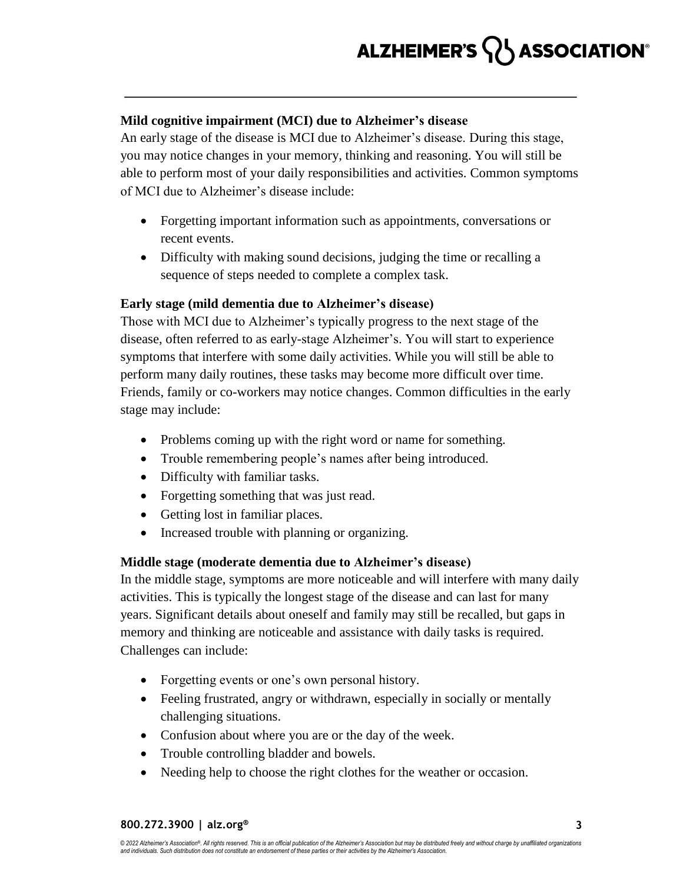#### **Mild cognitive impairment (MCI) due to Alzheimer's disease**

An early stage of the disease is MCI due to Alzheimer's disease. During this stage, you may notice changes in your memory, thinking and reasoning. You will still be able to perform most of your daily responsibilities and activities. Common symptoms of MCI due to Alzheimer's disease include:

- Forgetting important information such as appointments, conversations or recent events.
- Difficulty with making sound decisions, judging the time or recalling a sequence of steps needed to complete a complex task.

#### **Early stage (mild dementia due to Alzheimer's disease)**

Those with MCI due to Alzheimer's typically progress to the next stage of the disease, often referred to as early-stage Alzheimer's. You will start to experience symptoms that interfere with some daily activities. While you will still be able to perform many daily routines, these tasks may become more difficult over time. Friends, family or co-workers may notice changes. Common difficulties in the early stage may include:

- Problems coming up with the right word or name for something.
- Trouble remembering people's names after being introduced.
- Difficulty with familiar tasks.
- Forgetting something that was just read.
- Getting lost in familiar places.
- Increased trouble with planning or organizing.

#### **Middle stage (moderate dementia due to Alzheimer's disease)**

In the middle stage, symptoms are more noticeable and will interfere with many daily activities. This is typically the longest stage of the disease and can last for many years. Significant details about oneself and family may still be recalled, but gaps in memory and thinking are noticeable and assistance with daily tasks is required. Challenges can include:

- Forgetting events or one's own personal history.
- Feeling frustrated, angry or withdrawn, especially in socially or mentally challenging situations.
- Confusion about where you are or the day of the week.
- Trouble controlling bladder and bowels.
- Needing help to choose the right clothes for the weather or occasion.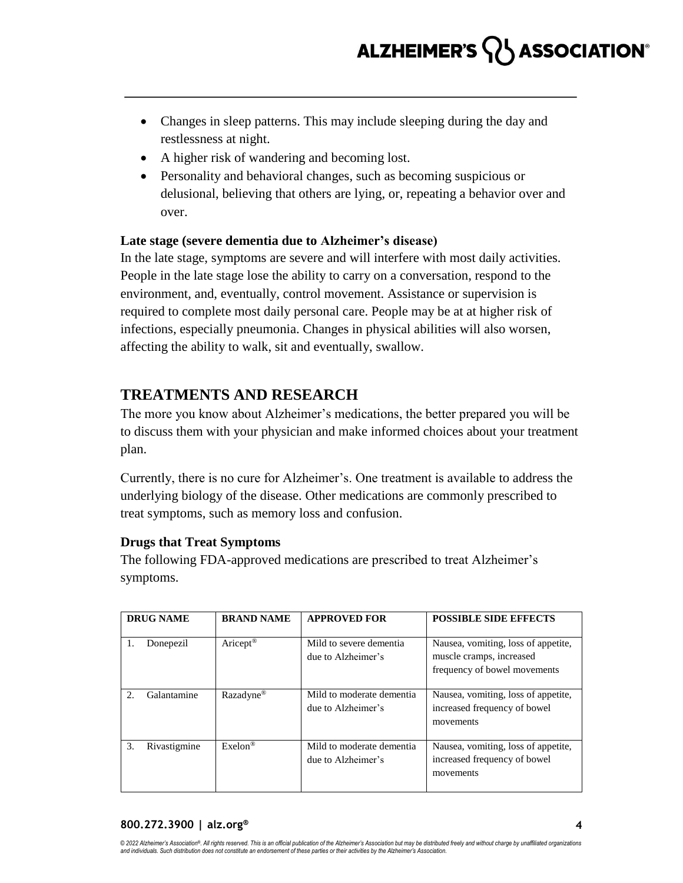- Changes in sleep patterns. This may include sleeping during the day and restlessness at night.
- A higher risk of wandering and becoming lost.
- Personality and behavioral changes, such as becoming suspicious or delusional, believing that others are lying, or, repeating a behavior over and over.

#### **Late stage (severe dementia due to Alzheimer's disease)**

In the late stage, symptoms are severe and will interfere with most daily activities. People in the late stage lose the ability to carry on a conversation, respond to the environment, and, eventually, control movement. Assistance or supervision is required to complete most daily personal care. People may be at at higher risk of infections, especially pneumonia. Changes in physical abilities will also worsen, affecting the ability to walk, sit and eventually, swallow.

## **TREATMENTS AND RESEARCH**

The more you know about Alzheimer's medications, the better prepared you will be to discuss them with your physician and make informed choices about your treatment plan.

Currently, there is no cure for Alzheimer's. One treatment is available to address the underlying biology of the disease. Other medications are commonly prescribed to treat symptoms, such as memory loss and confusion.

#### **Drugs that Treat Symptoms**

The following FDA-approved medications are prescribed to treat Alzheimer's symptoms.

| <b>DRUG NAME</b> |              | <b>BRAND NAME</b>     | <b>APPROVED FOR</b>                             | <b>POSSIBLE SIDE EFFECTS</b>                                                                    |
|------------------|--------------|-----------------------|-------------------------------------------------|-------------------------------------------------------------------------------------------------|
| 1.               | Donepezil    | Aricept <sup>®</sup>  | Mild to severe dementia<br>due to Alzheimer's   | Nausea, vomiting, loss of appetite,<br>muscle cramps, increased<br>frequency of bowel movements |
| 2.5              | Galantamine  | Razadyne <sup>®</sup> | Mild to moderate dementia<br>due to Alzheimer's | Nausea, vomiting, loss of appetite,<br>increased frequency of bowel<br>movements                |
| 3.               | Rivastigmine | $Exelon$ <sup>®</sup> | Mild to moderate dementia<br>due to Alzheimer's | Nausea, vomiting, loss of appetite,<br>increased frequency of bowel<br>movements                |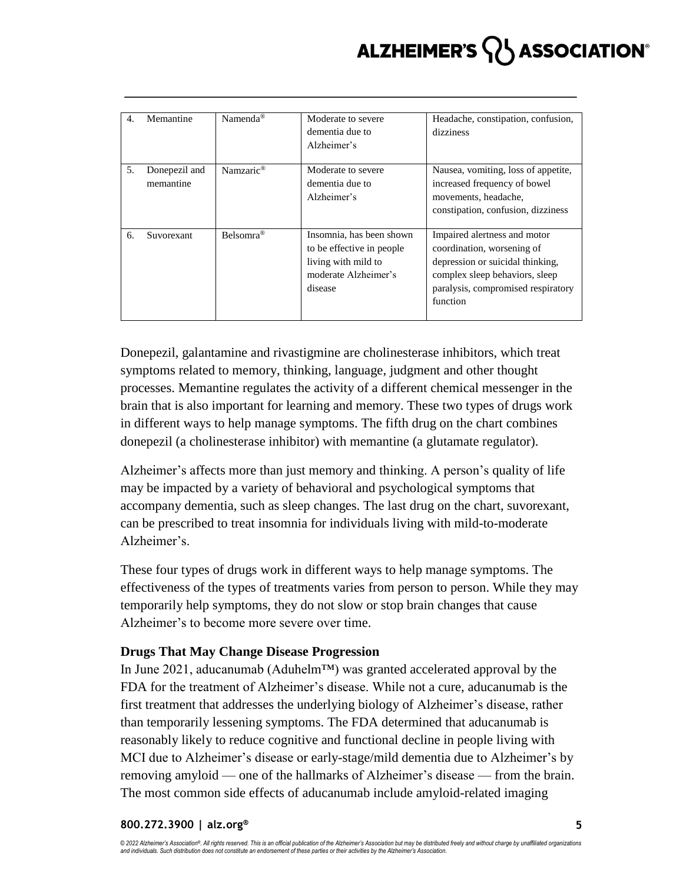## ASSOCIATION® **ALZHEIMER'S**

| 4. | Memantine                  | Namenda <sup>®</sup>  | Moderate to severe<br>dementia due to<br>Alzheimer's                                                            | Headache, constipation, confusion,<br>dizziness                                                                                                                                    |
|----|----------------------------|-----------------------|-----------------------------------------------------------------------------------------------------------------|------------------------------------------------------------------------------------------------------------------------------------------------------------------------------------|
| 5. | Donepezil and<br>memantine | Namzaric <sup>®</sup> | Moderate to severe<br>dementia due to<br>Alzheimer's                                                            | Nausea, vomiting, loss of appetite,<br>increased frequency of bowel<br>movements, headache,<br>constipation, confusion, dizziness                                                  |
| 6. | Suvorexant                 | Belsomra <sup>®</sup> | Insomnia, has been shown<br>to be effective in people<br>living with mild to<br>moderate Alzheimer's<br>disease | Impaired alertness and motor<br>coordination, worsening of<br>depression or suicidal thinking,<br>complex sleep behaviors, sleep<br>paralysis, compromised respiratory<br>function |

Donepezil, galantamine and rivastigmine are cholinesterase inhibitors, which treat symptoms related to memory, thinking, language, judgment and other thought processes. Memantine regulates the activity of a different chemical messenger in the brain that is also important for learning and memory. These two types of drugs work in different ways to help manage symptoms. The fifth drug on the chart combines donepezil (a cholinesterase inhibitor) with memantine (a glutamate regulator).

Alzheimer's affects more than just memory and thinking. A person's quality of life may be impacted by a variety of behavioral and psychological symptoms that accompany dementia, such as sleep changes. The last drug on the chart, suvorexant, can be prescribed to treat insomnia for individuals living with mild-to-moderate Alzheimer's.

These four types of drugs work in different ways to help manage symptoms. The effectiveness of the types of treatments varies from person to person. While they may temporarily help symptoms, they do not slow or stop brain changes that cause Alzheimer's to become more severe over time.

#### **Drugs That May Change Disease Progression**

In June 2021, aducanumab (Aduhelm™) was granted accelerated approval by the FDA for the treatment of Alzheimer's disease. While not a cure, aducanumab is the first treatment that addresses the underlying biology of Alzheimer's disease, rather than temporarily lessening symptoms. The FDA determined that aducanumab is reasonably likely to reduce cognitive and functional decline in people living with MCI due to Alzheimer's disease or early-stage/mild dementia due to Alzheimer's by removing amyloid — one of the hallmarks of Alzheimer's disease — from the brain. The most common side effects of aducanumab include amyloid-related imaging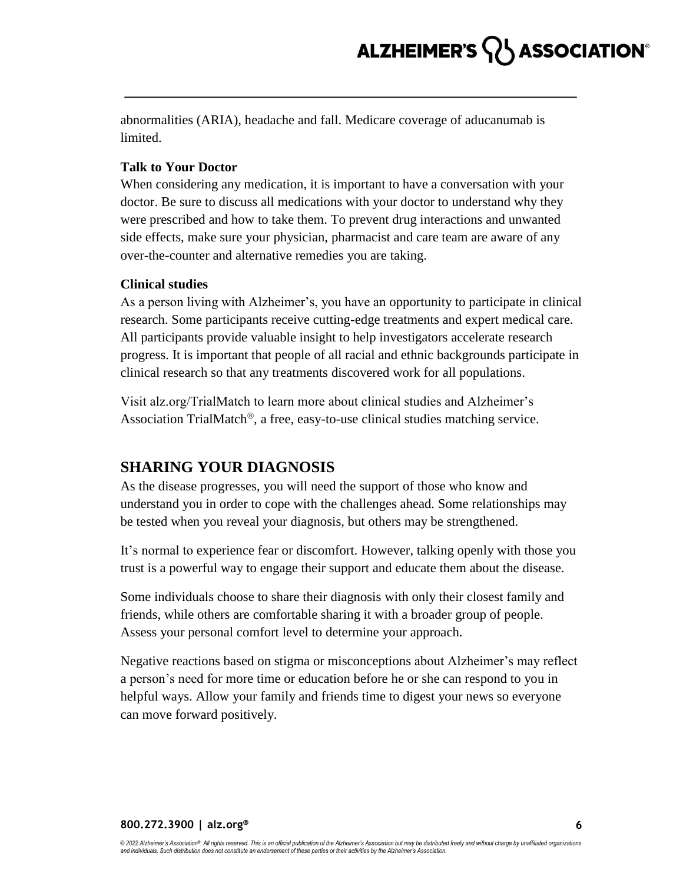abnormalities (ARIA), headache and fall. Medicare coverage of aducanumab is limited.

#### **Talk to Your Doctor**

When considering any medication, it is important to have a conversation with your doctor. Be sure to discuss all medications with your doctor to understand why they were prescribed and how to take them. To prevent drug interactions and unwanted side effects, make sure your physician, pharmacist and care team are aware of any over-the-counter and alternative remedies you are taking.

#### **Clinical studies**

As a person living with Alzheimer's, you have an opportunity to participate in clinical research. Some participants receive cutting-edge treatments and expert medical care. All participants provide valuable insight to help investigators accelerate research progress. It is important that people of all racial and ethnic backgrounds participate in clinical research so that any treatments discovered work for all populations.

Visit alz.org/TrialMatch to learn more about clinical studies and Alzheimer's Association TrialMatch®, a free, easy-to-use clinical studies matching service.

## **SHARING YOUR DIAGNOSIS**

As the disease progresses, you will need the support of those who know and understand you in order to cope with the challenges ahead. Some relationships may be tested when you reveal your diagnosis, but others may be strengthened.

It's normal to experience fear or discomfort. However, talking openly with those you trust is a powerful way to engage their support and educate them about the disease.

Some individuals choose to share their diagnosis with only their closest family and friends, while others are comfortable sharing it with a broader group of people. Assess your personal comfort level to determine your approach.

Negative reactions based on stigma or misconceptions about Alzheimer's may reflect a person's need for more time or education before he or she can respond to you in helpful ways. Allow your family and friends time to digest your news so everyone can move forward positively.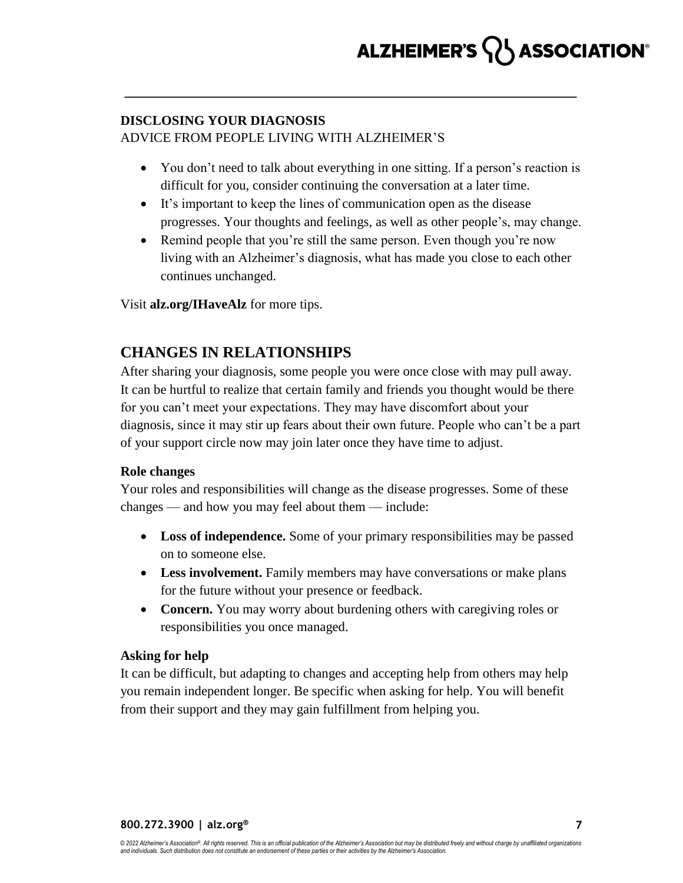### **DISCLOSING YOUR DIAGNOSIS** ADVICE FROM PEOPLE LIVING WITH ALZHEIMER'S

- You don't need to talk about everything in one sitting. If a person's reaction is difficult for you, consider continuing the conversation at a later time.
- It's important to keep the lines of communication open as the disease progresses. Your thoughts and feelings, as well as other people's, may change.
- Remind people that you're still the same person. Even though you're now living with an Alzheimer's diagnosis, what has made you close to each other continues unchanged.

Visit **alz.org/IHaveAlz** for more tips.

## **CHANGES IN RELATIONSHIPS**

After sharing your diagnosis, some people you were once close with may pull away. It can be hurtful to realize that certain family and friends you thought would be there for you can't meet your expectations. They may have discomfort about your diagnosis, since it may stir up fears about their own future. People who can't be a part of your support circle now may join later once they have time to adjust.

#### **Role changes**

Your roles and responsibilities will change as the disease progresses. Some of these changes — and how you may feel about them — include:

- **Loss of independence.** Some of your primary responsibilities may be passed on to someone else.
- **Less involvement.** Family members may have conversations or make plans for the future without your presence or feedback.
- **Concern.** You may worry about burdening others with caregiving roles or responsibilities you once managed.

#### **Asking for help**

It can be difficult, but adapting to changes and accepting help from others may help you remain independent longer. Be specific when asking for help. You will benefit from their support and they may gain fulfillment from helping you.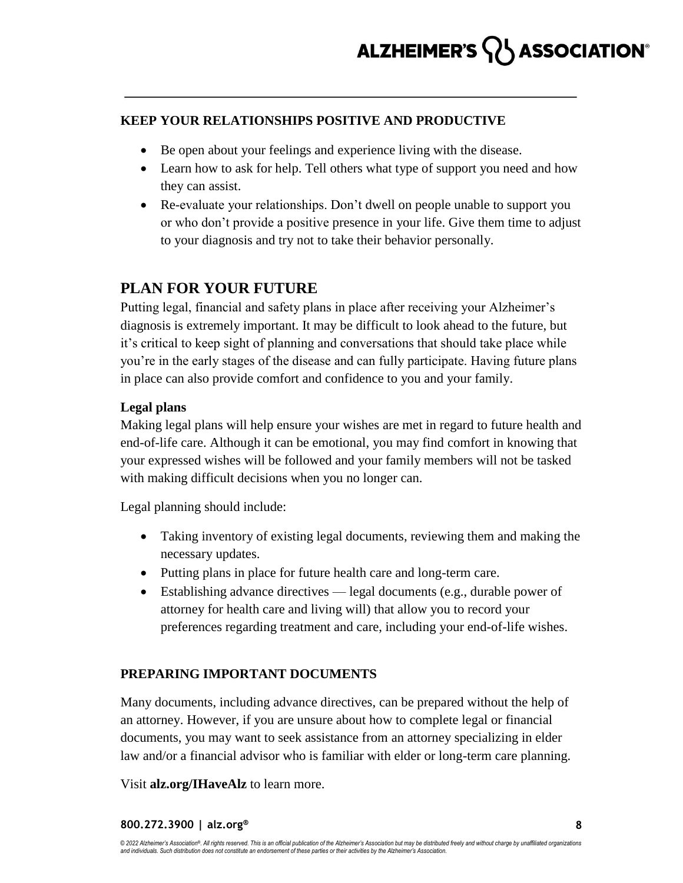#### **KEEP YOUR RELATIONSHIPS POSITIVE AND PRODUCTIVE**

- Be open about your feelings and experience living with the disease.
- Learn how to ask for help. Tell others what type of support you need and how they can assist.
- Re-evaluate your relationships. Don't dwell on people unable to support you or who don't provide a positive presence in your life. Give them time to adjust to your diagnosis and try not to take their behavior personally.

## **PLAN FOR YOUR FUTURE**

Putting legal, financial and safety plans in place after receiving your Alzheimer's diagnosis is extremely important. It may be difficult to look ahead to the future, but it's critical to keep sight of planning and conversations that should take place while you're in the early stages of the disease and can fully participate. Having future plans in place can also provide comfort and confidence to you and your family.

### **Legal plans**

Making legal plans will help ensure your wishes are met in regard to future health and end-of-life care. Although it can be emotional, you may find comfort in knowing that your expressed wishes will be followed and your family members will not be tasked with making difficult decisions when you no longer can.

Legal planning should include:

- Taking inventory of existing legal documents, reviewing them and making the necessary updates.
- Putting plans in place for future health care and long-term care.
- Establishing advance directives legal documents (e.g., durable power of attorney for health care and living will) that allow you to record your preferences regarding treatment and care, including your end-of-life wishes.

### **PREPARING IMPORTANT DOCUMENTS**

Many documents, including advance directives, can be prepared without the help of an attorney. However, if you are unsure about how to complete legal or financial documents, you may want to seek assistance from an attorney specializing in elder law and/or a financial advisor who is familiar with elder or long-term care planning.

Visit **alz.org/IHaveAlz** to learn more.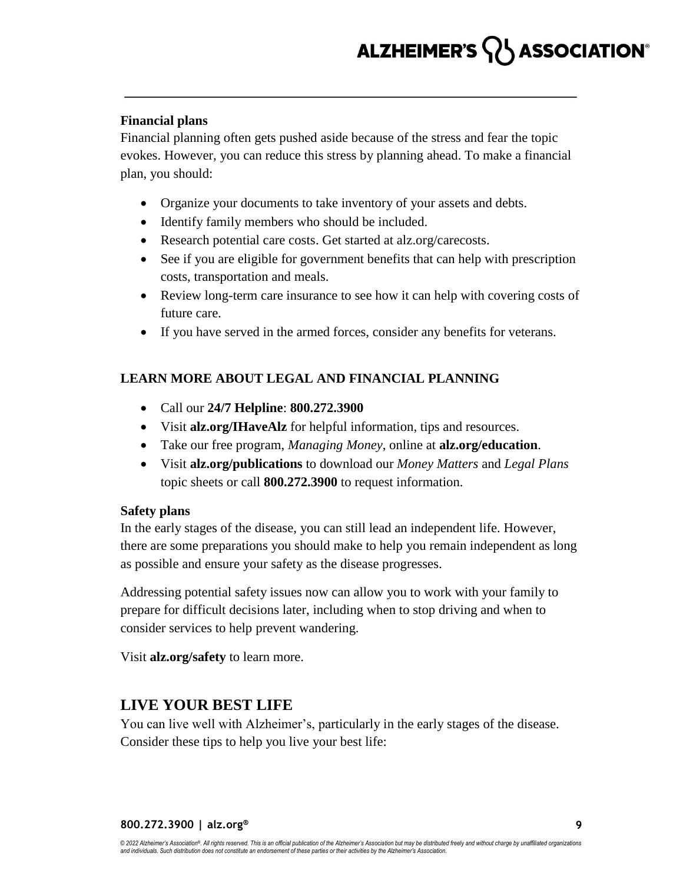# ALZHEIMER'S **ASSOCIATION**®

#### **Financial plans**

Financial planning often gets pushed aside because of the stress and fear the topic evokes. However, you can reduce this stress by planning ahead. To make a financial plan, you should:

- Organize your documents to take inventory of your assets and debts.
- Identify family members who should be included.
- Research potential care costs. Get started at alz.org/carecosts.
- See if you are eligible for government benefits that can help with prescription costs, transportation and meals.
- Review long-term care insurance to see how it can help with covering costs of future care.
- If you have served in the armed forces, consider any benefits for veterans.

#### **LEARN MORE ABOUT LEGAL AND FINANCIAL PLANNING**

- Call our **24/7 Helpline**: **800.272.3900**
- Visit **alz.org/IHaveAlz** for helpful information, tips and resources.
- Take our free program, *Managing Money*, online at **alz.org/education**.
- Visit **alz.org/publications** to download our *Money Matters* and *Legal Plans* topic sheets or call **800.272.3900** to request information.

#### **Safety plans**

In the early stages of the disease, you can still lead an independent life. However, there are some preparations you should make to help you remain independent as long as possible and ensure your safety as the disease progresses.

Addressing potential safety issues now can allow you to work with your family to prepare for difficult decisions later, including when to stop driving and when to consider services to help prevent wandering.

Visit **alz.org/safety** to learn more.

### **LIVE YOUR BEST LIFE**

You can live well with Alzheimer's, particularly in the early stages of the disease. Consider these tips to help you live your best life: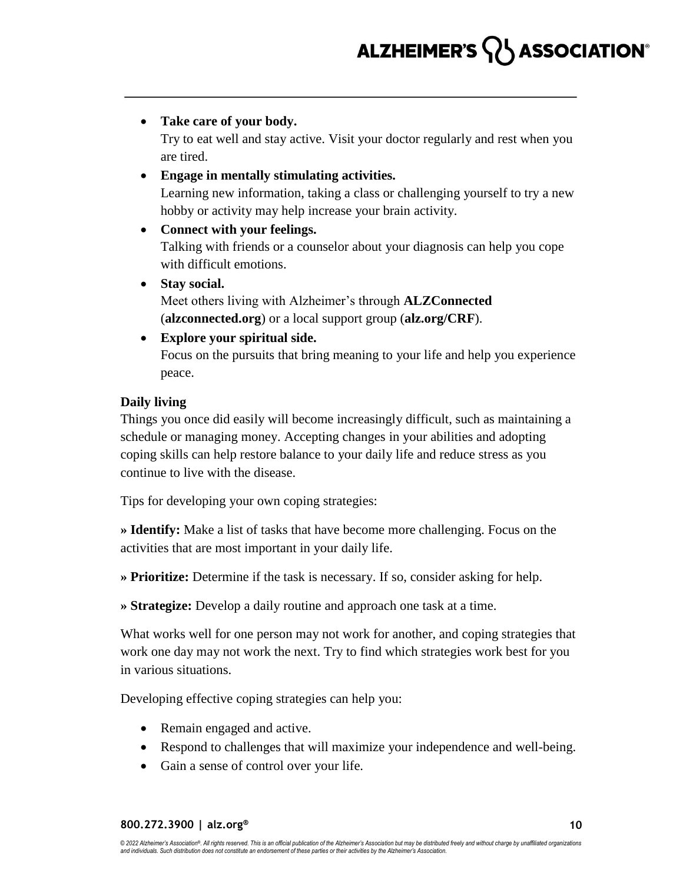#### **Take care of your body.**

Try to eat well and stay active. Visit your doctor regularly and rest when you are tired.

#### **Engage in mentally stimulating activities.**

Learning new information, taking a class or challenging yourself to try a new hobby or activity may help increase your brain activity.

#### **Connect with your feelings.**

Talking with friends or a counselor about your diagnosis can help you cope with difficult emotions.

 **Stay social.** Meet others living with Alzheimer's through **ALZConnected** (**alzconnected.org**) or a local support group (**alz.org/CRF**).

## **Explore your spiritual side.**

Focus on the pursuits that bring meaning to your life and help you experience peace.

#### **Daily living**

Things you once did easily will become increasingly difficult, such as maintaining a schedule or managing money. Accepting changes in your abilities and adopting coping skills can help restore balance to your daily life and reduce stress as you continue to live with the disease.

Tips for developing your own coping strategies:

**» Identify:** Make a list of tasks that have become more challenging. Focus on the activities that are most important in your daily life.

**» Prioritize:** Determine if the task is necessary. If so, consider asking for help.

**» Strategize:** Develop a daily routine and approach one task at a time.

What works well for one person may not work for another, and coping strategies that work one day may not work the next. Try to find which strategies work best for you in various situations.

Developing effective coping strategies can help you:

- Remain engaged and active.
- Respond to challenges that will maximize your independence and well-being.
- Gain a sense of control over your life.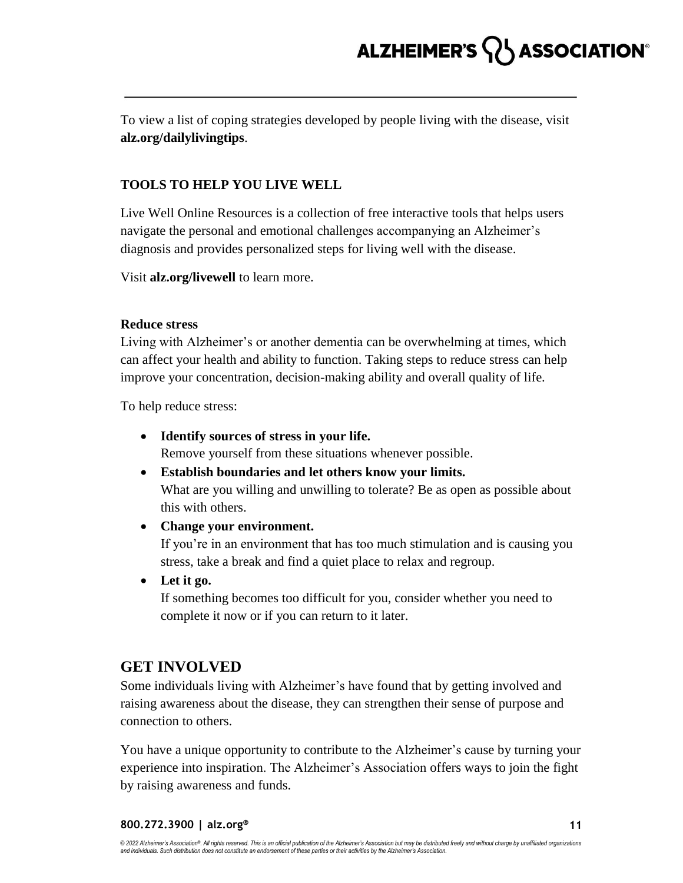To view a list of coping strategies developed by people living with the disease, visit **alz.org/dailylivingtips**.

### **TOOLS TO HELP YOU LIVE WELL**

Live Well Online Resources is a collection of free interactive tools that helps users navigate the personal and emotional challenges accompanying an Alzheimer's diagnosis and provides personalized steps for living well with the disease.

Visit **alz.org/livewell** to learn more.

#### **Reduce stress**

Living with Alzheimer's or another dementia can be overwhelming at times, which can affect your health and ability to function. Taking steps to reduce stress can help improve your concentration, decision-making ability and overall quality of life.

To help reduce stress:

**Identify sources of stress in your life.**

Remove yourself from these situations whenever possible.

- **Establish boundaries and let others know your limits.** What are you willing and unwilling to tolerate? Be as open as possible about this with others.
- **Change your environment.**

If you're in an environment that has too much stimulation and is causing you stress, take a break and find a quiet place to relax and regroup.

**Let it go.**

If something becomes too difficult for you, consider whether you need to complete it now or if you can return to it later.

## **GET INVOLVED**

Some individuals living with Alzheimer's have found that by getting involved and raising awareness about the disease, they can strengthen their sense of purpose and connection to others.

You have a unique opportunity to contribute to the Alzheimer's cause by turning your experience into inspiration. The Alzheimer's Association offers ways to join the fight by raising awareness and funds.